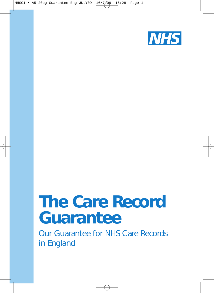

# *The Care Record Guarantee*

Our Guarantee for NHS Care Records in England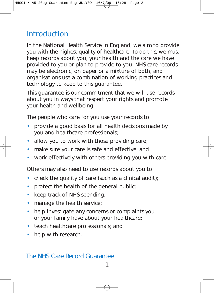# **Introduction**

In the National Health Service in England, we aim to provide you with the highest quality of healthcare. To do this, we must keep records about you, your health and the care we have provided to you or plan to provide to you. NHS care records may be electronic, on paper or a mixture of both, and organisations use a combination of working practices and technology to keep to this guarantee.

This guarantee is our commitment that we will use records about you in ways that respect your rights and promote your health and wellbeing.

The people who care for you use your records to:

- provide a good basis for all health decisions made by you and healthcare professionals;
- allow you to work with those providing care;
- make sure your care is safe and effective; and
- work effectively with others providing you with care.

Others may also need to use records about you to:

- check the quality of care (such as a clinical audit);
- protect the health of the general public;
- keep track of NHS spending;
- manage the health service;
- help investigate any concerns or complaints you or your family have about your healthcare;
- teach healthcare professionals; and
- help with research.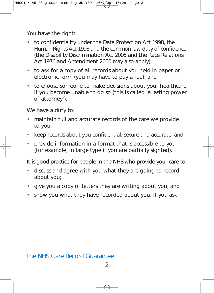You have the right:

- to confidentiality under the Data Protection Act 1998, the Human Rights Act 1998 and the common law duty of confidence (the Disability Discrimination Act 2005 and the Race Relations Act 1976 and Amendment 2000 may also apply);
- to ask for a copy of all records about you held in paper or electronic form (you may have to pay a fee); and
- to choose someone to make decisions about your healthcare if you become unable to do so (this is called 'a lasting power of attorney').

We have a duty to:

- maintain full and accurate records of the care we provide to you;
- keep records about you confidential, secure and accurate; and
- provide information in a format that is accessible to you (for example, in large type if you are partially sighted).

It is good practice for people in the NHS who provide your care to:

- discuss and agree with you what they are going to record about you;
- give you a copy of letters they are writing about you; and
- show you what they have recorded about you, if you ask.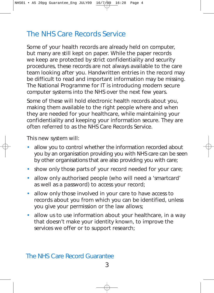# The NHS Care Records Service

Some of your health records are already held on computer, but many are still kept on paper. While the paper records we keep are protected by strict confidentiality and security procedures, these records are not always available to the care team looking after you. Handwritten entries in the record may be difficult to read and important information may be missing. The National Programme for IT is introducing modern secure computer systems into the NHS over the next few years.

Some of these will hold electronic health records about you, making them available to the right people where and when they are needed for your healthcare, while maintaining your confidentiality and keeping your information secure. They are often referred to as the NHS Care Records Service.

This new system will:

- allow you to control whether the information recorded about you by an organisation providing you with NHS care can be seen by other organisations that are also providing you with care;
- show only those parts of your record needed for your care;
- allow only authorised people (who will need a 'smartcard' as well as a password) to access your record;
- allow only those involved in your care to have access to records about you from which you can be identified, unless you give your permission or the law allows;
- allow us to use information about your healthcare, in a way that doesn't make your identity known, to improve the services we offer or to support research;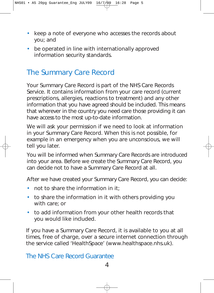- keep a note of everyone who accesses the records about you; and
- be operated in line with internationally approved information security standards.

# The Summary Care Record

Your Summary Care Record is part of the NHS Care Records Service. It contains information from your care record (current prescriptions, allergies, reactions to treatment) and any other information that you have agreed should be included. This means that wherever in the country you need care those providing it can have access to the most up-to-date information.

We will ask your permission if we need to look at information in your Summary Care Record. When this is not possible, for example in an emergency when you are unconscious, we will tell you later.

You will be informed when Summary Care Records are introduced into your area. Before we create the Summary Care Record, you can decide not to have a Summary Care Record at all.

After we have created your Summary Care Record, you can decide:

- not to share the information in it:
- to share the information in it with others providing you with care; or
- to add information from your other health records that you would like included.

If you have a Summary Care Record, it is available to you at all times, free of charge, over a secure internet connection through the service called 'HealthSpace' (www.healthspace.nhs.uk).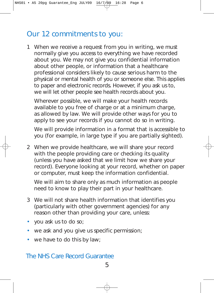# Our 12 commitments to you:

1 When we receive a request from you in writing, we must normally give you access to everything we have recorded about you. We may not give you confidential information about other people, or information that a healthcare professional considers likely to cause serious harm to the physical or mental health of you or someone else. This applies to paper and electronic records. However, if you ask us to, we will let other people see health records about you.

Wherever possible, we will make your health records available to you free of charge or at a minimum charge, as allowed by law. We will provide other ways for you to apply to see your records if you cannot do so in writing.

We will provide information in a format that is accessible to you (for example, in large type if you are partially sighted).

2 When we provide healthcare, we will share your record with the people providing care or checking its quality (unless you have asked that we limit how we share your record). Everyone looking at your record, whether on paper or computer, must keep the information confidential.

We will aim to share only as much information as people need to know to play their part in your healthcare.

- 3 We will not share health information that identifies you (particularly with other government agencies) for any reason other than providing your care, unless:
- you ask us to do so;
- we ask and you give us specific permission;
- we have to do this by law;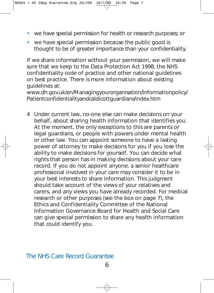- we have special permission for health or research purposes; or
- we have special permission because the public good is thought to be of greater importance than your confidentiality.

If we share information without your permission, we will make sure that we keep to the Data Protection Act 1998, the NHS confidentiality code of practice and other national guidelines on best practice. There is more information about existing guidelines at:

www.dh.gov.uk/en/Managingyourorganisation/Informationpolicy/ Patientconfidentialityandcaldicottguardians/index.htm

4 Under current law, no-one else can make decisions on your behalf, about sharing health information that identifies you. At the moment, the only exceptions to this are parents or legal guardians, or people with powers under mental health or other law. You can appoint someone to have a lasting power of attorney to make decisions for you if you lose the ability to make decisions for yourself. You can decide what rights that person has in making decisions about your care record. If you do not appoint anyone, a senior healthcare professional involved in your care may consider it to be in your best interests to share information. This judgment should take account of the views of your relatives and carers, and any views you have already recorded. For medical research or other purposes (see the box on page 7), the Ethics and Confidentiality Committee of the National Information Governance Board for Health and Social Care can give special permission to share any health information that could identify you.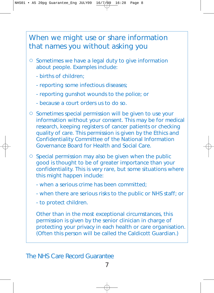# When we might use or share information that names you without asking you

- $\circ$  Sometimes we have a legal duty to give information about people. Examples include:
	- births of children;
	- reporting some infectious diseases;
	- reporting gunshot wounds to the police; or
	- because a court orders us to do so.
- $\circ$  Sometimes special permission will be given to use your information without your consent. This may be for medical research, keeping registers of cancer patients or checking quality of care. This permission is given by the Ethics and Confidentiality Committee of the National Information Governance Board for Health and Social Care.
- $\circ$  Special permission may also be given when the public good is thought to be of greater importance than your confidentiality. This is very rare, but some situations where this might happen include:
	- when a serious crime has been committed;
	- when there are serious risks to the public or NHS staff; or
	- to protect children.

Other than in the most exceptional circumstances, this permission is given by the senior clinician in charge of protecting your privacy in each health or care organisation. (Often this person will be called the Caldicott Guardian.)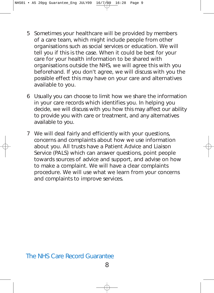- 5 Sometimes your healthcare will be provided by members of a care team, which might include people from other organisations such as social services or education. We will tell you if this is the case. When it could be best for your care for your health information to be shared with organisations outside the NHS, we will agree this with you beforehand. If you don't agree, we will discuss with you the possible effect this may have on your care and alternatives available to you.
- 6 Usually you can choose to limit how we share the information in your care records which identifies you. In helping you decide, we will discuss with you how this may affect our ability to provide you with care or treatment, and any alternatives available to you.
- 7 We will deal fairly and efficiently with your questions, concerns and complaints about how we use information about you. All trusts have a Patient Advice and Liaison Service (PALS) which can answer questions, point people towards sources of advice and support, and advise on how to make a complaint. We will have a clear complaints procedure. We will use what we learn from your concerns and complaints to improve services.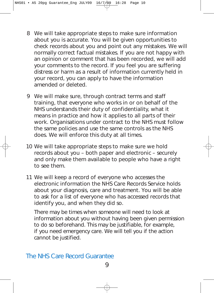- 8 We will take appropriate steps to make sure information about you is accurate. You will be given opportunities to check records about you and point out any mistakes. We will normally correct factual mistakes. If you are not happy with an opinion or comment that has been recorded, we will add your comments to the record. If you feel you are suffering distress or harm as a result of information currently held in your record, you can apply to have the information amended or deleted.
- 9 We will make sure, through contract terms and staff training, that everyone who works in or on behalf of the NHS understands their duty of confidentiality, what it means in practice and how it applies to all parts of their work. Organisations under contract to the NHS must follow the same policies and use the same controls as the NHS does. We will enforce this duty at all times.
- 10 We will take appropriate steps to make sure we hold records about you – both paper and electronic – securely and only make them available to people who have a right to see them.
- 11 We will keep a record of everyone who accesses the electronic information the NHS Care Records Service holds about your diagnosis, care and treatment. You will be able to ask for a list of everyone who has accessed records that identify you, and when they did so.

There may be times when someone will need to look at information about you without having been given permission to do so beforehand. This may be justifiable, for example, if you need emergency care. We will tell you if the action cannot be justified.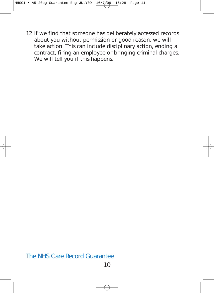12 If we find that someone has deliberately accessed records about you without permission or good reason, we will take action. This can include disciplinary action, ending a contract, firing an employee or bringing criminal charges. We will tell you if this happens.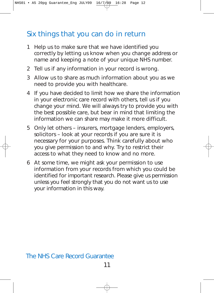# Six things that you can do in return

- 1 Help us to make sure that we have identified you correctly by letting us know when you change address or name and keeping a note of your unique NHS number.
- 2 Tell us if any information in your record is wrong.
- 3 Allow us to share as much information about you as we need to provide you with healthcare.
- 4 If you have decided to limit how we share the information in your electronic care record with others, tell us if you change your mind. We will always try to provide you with the best possible care, but bear in mind that limiting the information we can share may make it more difficult.
- 5 Only let others insurers, mortgage lenders, employers, solicitors – look at your records if you are sure it is necessary for your purposes. Think carefully about who you give permission to and why. Try to restrict their access to what they need to know and no more.
- 6 At some time, we might ask your permission to use information from your records from which you could be identified for important research. Please give us permission unless you feel strongly that you do not want us to use your information in this way.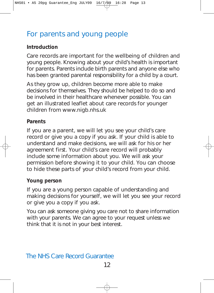# For parents and young people

#### **Introduction**

Care records are important for the wellbeing of children and young people. Knowing about your child's health is important for parents. Parents include birth parents and anyone else who has been granted parental responsibility for a child by a court.

As they grow up, children become more able to make decisions for themselves. They should be helped to do so and be involved in their healthcare whenever possible. You can get an illustrated leaflet about care records for younger children from www.nigb.nhs.uk

#### **Parents**

If you are a parent, we will let you see your child's care record or give you a copy if you ask. If your child is able to understand and make decisions, we will ask for his or her agreement first. Your child's care record will probably include some information about you. We will ask your permission before showing it to your child. You can choose to hide these parts of your child's record from your child.

#### **Young person**

If you are a young person capable of understanding and making decisions for yourself, we will let you see your record or give you a copy if you ask.

You can ask someone giving you care not to share information with your parents. We can agree to your request unless we think that it is not in your best interest.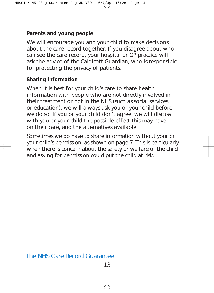#### **Parents and young people**

We will encourage you and your child to make decisions about the care record together. If you disagree about who can see the care record, your hospital or GP practice will ask the advice of the Caldicott Guardian, who is responsible for protecting the privacy of patients.

#### **Sharing information**

When it is best for your child's care to share health information with people who are not directly involved in their treatment or not in the NHS (such as social services or education), we will always ask you or your child before we do so. If you or your child don't agree, we will discuss with you or your child the possible effect this may have on their care, and the alternatives available.

Sometimes we do have to share information without your or your child's permission, as shown on page 7. This is particularly when there is concern about the safety or welfare of the child and asking for permission could put the child at risk.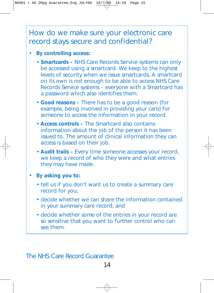## How do we make sure your electronic care record stays secure and confidential?

#### • **By controlling access:**

- **Smartcards –** NHS Care Records Service systems can only be accessed using a smartcard. We keep to the highest levels of security when we issue smartcards. A smartcard on its own is not enough to be able to access NHS Care Records Service systems – everyone with a Smartcard has a password which also identifies them.
- **Good reasons –** There has to be a good reason (for example, being involved in providing your care) for someone to access the information in your record.
- **Access controls –** The Smartcard also contains information about the job of the person it has been issued to. The amount of clinical information they can access is based on their job.
- **Audit trails –** Every time someone accesses your record, we keep a record of who they were and what entries they may have made.
- **By asking you to:**
	- tell us if you don't want us to create a summary care record for you;
	- decide whether we can share the information contained in your summary care record; and
	- decide whether some of the entries in your record are so sensitive that you want to further control who can see them.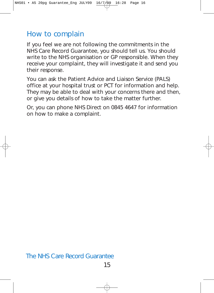## How to complain

If you feel we are not following the commitments in the NHS Care Record Guarantee, you should tell us. You should write to the NHS organisation or GP responsible. When they receive your complaint, they will investigate it and send you their response.

You can ask the Patient Advice and Liaison Service (PALS) office at your hospital trust or PCT for information and help. They may be able to deal with your concerns there and then, or give you details of how to take the matter further.

Or, you can phone NHS Direct on 0845 4647 for information on how to make a complaint.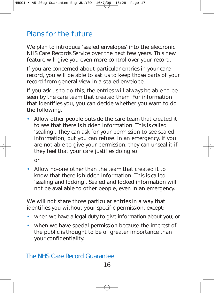# Plans for the future

We plan to introduce 'sealed envelopes' into the electronic NHS Care Records Service over the next few years. This new feature will give you even more control over your record.

If you are concerned about particular entries in your care record, you will be able to ask us to keep those parts of your record from general view in a sealed envelope.

If you ask us to do this, the entries will always be able to be seen by the care team that created them. For information that identifies you, you can decide whether you want to do the following.

• Allow other people outside the care team that created it to see that there is hidden information. This is called 'sealing'. They can ask for your permission to see sealed information, but you can refuse. In an emergency, if you are not able to give your permission, they can unseal it if they feel that your care justifies doing so.

or

• Allow no-one other than the team that created it to know that there is hidden information. This is called 'sealing and locking'. Sealed and locked information will not be available to other people, even in an emergency.

We will not share those particular entries in a way that identifies you without your specific permission, except:

- when we have a legal duty to give information about you; or
- when we have special permission because the interest of the public is thought to be of greater importance than your confidentiality.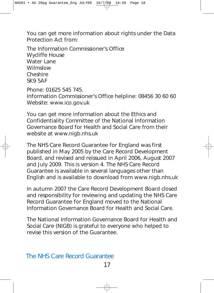You can get more information about rights under the Data Protection Act from:

The Information Commissioner's Office Wycliffe House Water Lane Wilmslow Cheshire SK9 5AF

Phone: 01625 545 745. Information Commissioner's Office helpline: 08456 30 60 60 Website: www.ico.gov.uk

You can get more information about the Ethics and Confidentiality Committee of the National Information Governance Board for Health and Social Care from their website at www.nigb.nhs.uk

The NHS Care Record Guarantee for England was first published in May 2005 by the Care Record Development Board, and revised and reissued in April 2006, August 2007 and July 2009. This is version 4. The NHS Care Record Guarantee is available in several languages other than English and is available to download from www.nigb.nhs.uk

In autumn 2007 the Care Record Development Board closed and responsibility for reviewing and updating the NHS Care Record Guarantee for England moved to the National Information Governance Board for Health and Social Care.

The National Information Governance Board for Health and Social Care (NIGB) is grateful to everyone who helped to revise this version of the Guarantee.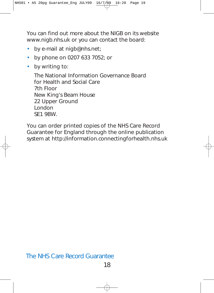You can find out more about the NIGB on its website www.nigb.nhs.uk or you can contact the board:

- by e-mail at nigb@nhs.net;
- by phone on 0207 633 7052; or
- by writing to:

The National Information Governance Board for Health and Social Care 7th Floor New King's Beam House 22 Upper Ground London SE1 9BW.

You can order printed copies of the NHS Care Record Guarantee for England through the online publication system at http://information.connectingforhealth.nhs.uk